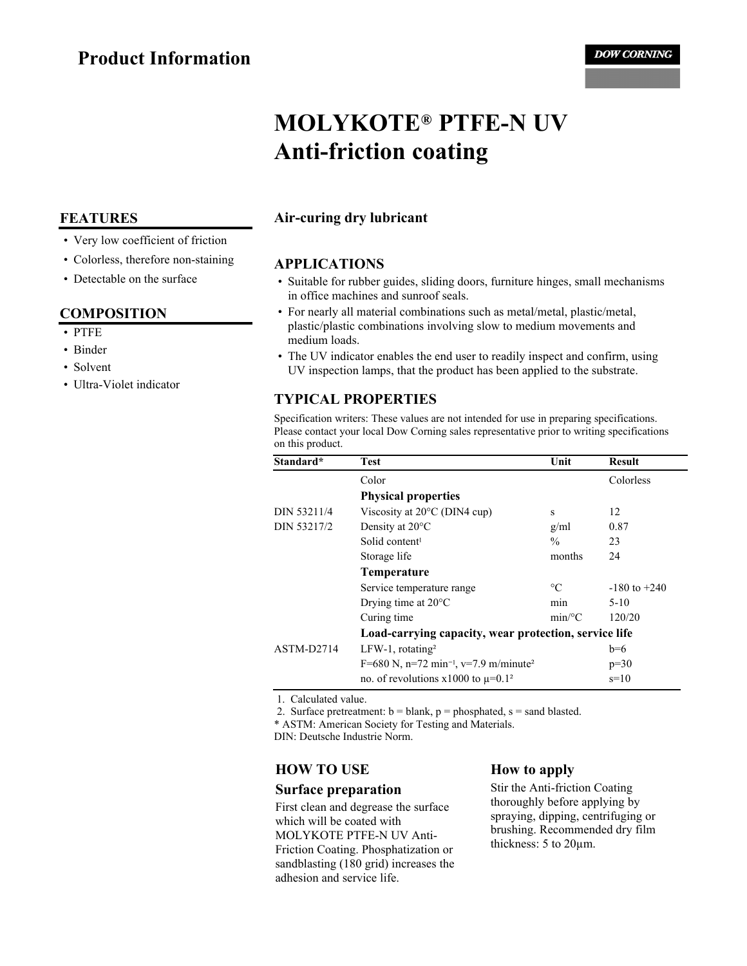# **MOLYKOTE® PTFE-N UV Anti-friction coating**

## **Air-curing dry lubricant**

#### **APPLICATIONS**

- Suitable for rubber guides, sliding doors, furniture hinges, small mechanisms in office machines and sunroof seals.
- For nearly all material combinations such as metal/metal, plastic/metal, plastic/plastic combinations involving slow to medium movements and medium loads.
- The UV indicator enables the end user to readily inspect and confirm, using UV inspection lamps, that the product has been applied to the substrate.

## **TYPICAL PROPERTIES**

Specification writers: These values are not intended for use in preparing specifications. Please contact your local Dow Corning sales representative prior to writing specifications on this product.

| Standard*   | <b>Test</b>                                                   | Unit            | <b>Result</b>    |
|-------------|---------------------------------------------------------------|-----------------|------------------|
|             | Color                                                         |                 | Colorless        |
|             | <b>Physical properties</b>                                    |                 |                  |
| DIN 53211/4 | Viscosity at $20^{\circ}$ C (DIN4 cup)                        | S               | 12               |
| DIN 53217/2 | Density at $20^{\circ}$ C                                     | g/ml            | 0.87             |
|             | Solid content <sup>1</sup>                                    | $\frac{0}{0}$   | 23               |
|             | Storage life                                                  | months          | 24               |
|             | Temperature                                                   |                 |                  |
|             | Service temperature range                                     | $\rm ^{\circ}C$ | $-180$ to $+240$ |
|             | Drying time at $20^{\circ}$ C                                 | min             | $5 - 10$         |
|             | Curing time                                                   | $min$ /°C       | 120/20           |
|             | Load-carrying capacity, wear protection, service life         |                 |                  |
| ASTM-D2714  | $LFW-1$ , rotating <sup>2</sup>                               |                 | $b=6$            |
|             | F=680 N, n=72 min <sup>-1</sup> , v=7.9 m/minute <sup>2</sup> |                 | $p=30$           |
|             | no. of revolutions $x1000$ to $\mu=0.1^2$                     |                 | $s=10$           |

1. Calculated value.

2. Surface pretreatment:  $b = blank$ ,  $p = phosphated$ ,  $s = sand$  blasted.

\* ASTM: American Society for Testing and Materials.

DIN: Deutsche Industrie Norm.

#### **HOW TO USE**

#### **Surface preparation**

First clean and degrease the surface which will be coated with MOLYKOTE PTFE-N UV Anti-Friction Coating. Phosphatization or sandblasting (180 grid) increases the adhesion and service life.

#### **How to apply**

Stir the Anti-friction Coating thoroughly before applying by spraying, dipping, centrifuging or brushing. Recommended dry film thickness: 5 to 20µm.

#### **FEATURES**

- Very low coefficient of friction
- Colorless, therefore non-staining
- Detectable on the surface

#### **COMPOSITION**

- PTFE
- Binder
- Solvent
- Ultra-Violet indicator